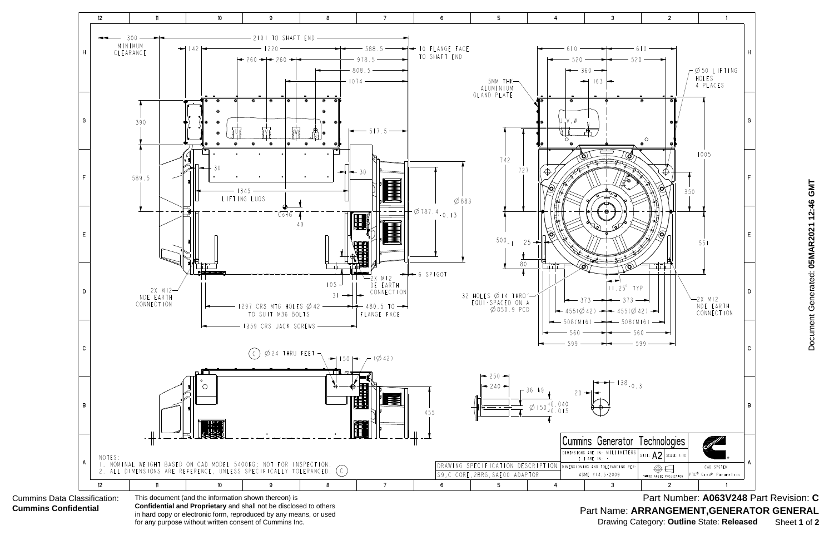

Document Generated: 05MAR2021 12:46 GMT Document Generated: **05MAR2021 12:46 GMT**

Part Name: ARRANGEMENT, GENERATOR GENERAL Part Number: **A063V248** Part Revision: **C** Drawing Category: **Outline** State: **Released** Sheet **1** of **2**

**Confidential and Proprietary** and shall not be disclosed to others in hard copy or electronic form, reproduced by any means, or used for any purpose without written consent of Cummins Inc.